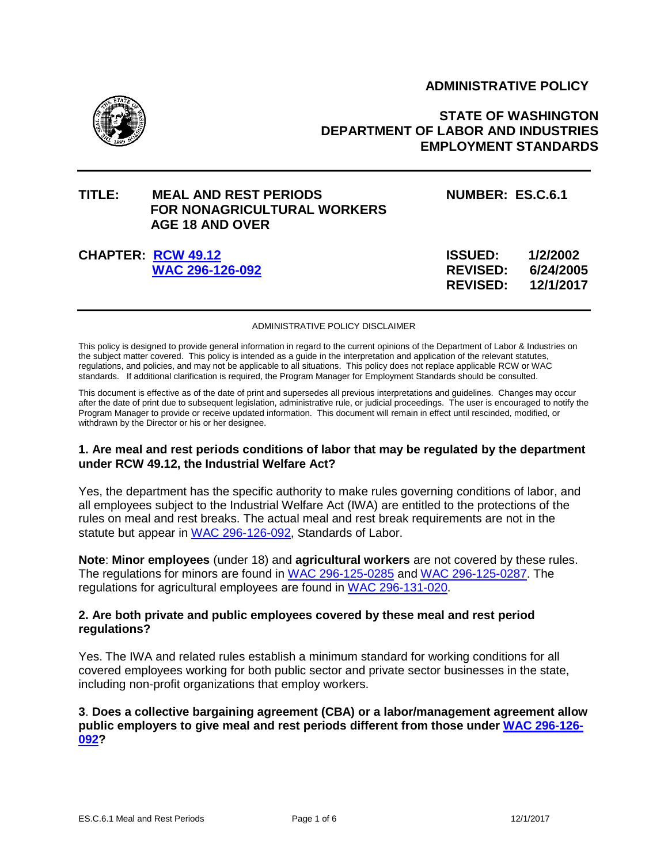# **ADMINISTRATIVE POLICY**



# **STATE OF WASHINGTON DEPARTMENT OF LABOR AND INDUSTRIES EMPLOYMENT STANDARDS**

# **TITLE: MEAL AND REST PERIODS NUMBER: ES.C.6.1 FOR NONAGRICULTURAL WORKERS AGE 18 AND OVER**

# **CHAPTER: [RCW 49.12](http://apps.leg.wa.gov/rcw/default.aspx?cite=49.12) [WAC 296-126-092](http://app.leg.wa.gov/WAC/default.aspx?cite=296-126-092)**

| 1/2/2002  |
|-----------|
| 6/24/2005 |
| 12/1/2017 |
|           |

#### ADMINISTRATIVE POLICY DISCLAIMER

This policy is designed to provide general information in regard to the current opinions of the Department of Labor & Industries on the subject matter covered. This policy is intended as a guide in the interpretation and application of the relevant statutes, regulations, and policies, and may not be applicable to all situations. This policy does not replace applicable RCW or WAC standards. If additional clarification is required, the Program Manager for Employment Standards should be consulted.

This document is effective as of the date of print and supersedes all previous interpretations and guidelines. Changes may occur after the date of print due to subsequent legislation, administrative rule, or judicial proceedings. The user is encouraged to notify the Program Manager to provide or receive updated information. This document will remain in effect until rescinded, modified, or withdrawn by the Director or his or her designee.

#### **1. Are meal and rest periods conditions of labor that may be regulated by the department under RCW 49.12, the Industrial Welfare Act?**

Yes, the department has the specific authority to make rules governing conditions of labor, and all employees subject to the Industrial Welfare Act (IWA) are entitled to the protections of the rules on meal and rest breaks. The actual meal and rest break requirements are not in the statute but appear in [WAC 296-126-092,](http://app.leg.wa.gov/WAC/default.aspx?cite=296-126-092) Standards of Labor.

**Note**: **Minor employees** (under 18) and **agricultural workers** are not covered by these rules. The regulations for minors are found in [WAC 296-125-0285](http://app.leg.wa.gov/WAC/default.aspx?cite=296-125-0285) and [WAC 296-125-0287.](http://app.leg.wa.gov/WAC/default.aspx?cite=296-125-0287) The regulations for agricultural employees are found in [WAC 296-131-020.](http://app.leg.wa.gov/WAC/default.aspx?cite=296-131-020)

## **2. Are both private and public employees covered by these meal and rest period regulations?**

Yes. The IWA and related rules establish a minimum standard for working conditions for all covered employees working for both public sector and private sector businesses in the state, including non-profit organizations that employ workers.

## **3**. **Does a collective bargaining agreement (CBA) or a labor/management agreement allow public employers to give meal and rest periods different from those under [WAC 296-126-](http://app.leg.wa.gov/WAC/default.aspx?cite=296-126-092) [092?](http://app.leg.wa.gov/WAC/default.aspx?cite=296-126-092)**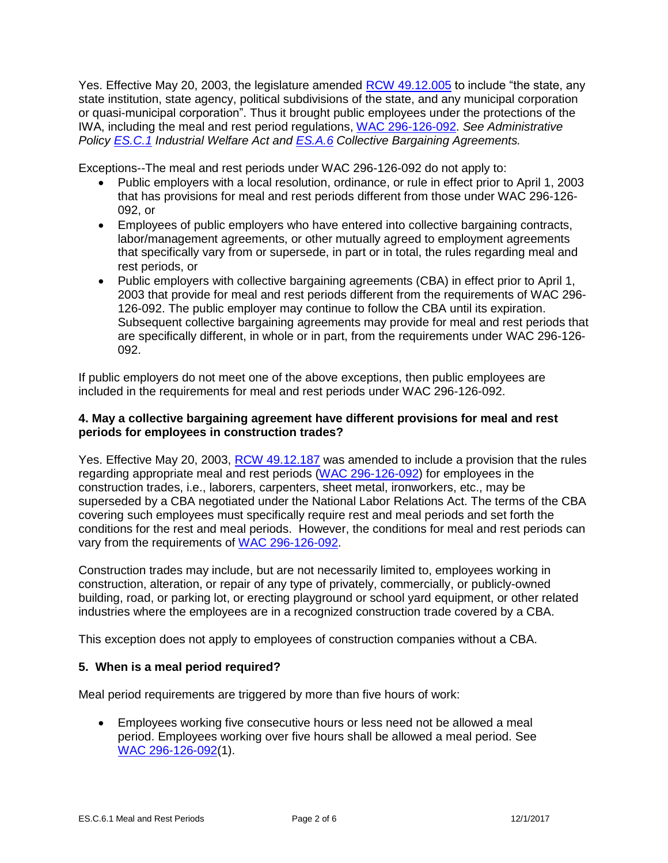Yes. Effective May 20, 2003, the legislature amended [RCW 49.12.005](http://apps.leg.wa.gov/rcw/default.aspx?cite=49.12.005) to include "the state, any state institution, state agency, political subdivisions of the state, and any municipal corporation or quasi-municipal corporation". Thus it brought public employees under the protections of the IWA, including the meal and rest period regulations, [WAC 296-126-092.](http://app.leg.wa.gov/WAC/default.aspx?cite=296-126-092) *See Administrative Policy [ES.C.1](http://www.lni.wa.gov/WorkplaceRights/Rules/Policies/default.asp) Industrial Welfare Act and [ES.A.6](http://www.lni.wa.gov/WorkplaceRights/Rules/Policies/default.asp) Collective Bargaining Agreements.*

Exceptions--The meal and rest periods under WAC 296-126-092 do not apply to:

- Public employers with a local resolution, ordinance, or rule in effect prior to April 1, 2003 that has provisions for meal and rest periods different from those under WAC 296-126- 092, or
- Employees of public employers who have entered into collective bargaining contracts, labor/management agreements, or other mutually agreed to employment agreements that specifically vary from or supersede, in part or in total, the rules regarding meal and rest periods, or
- Public employers with collective bargaining agreements (CBA) in effect prior to April 1, 2003 that provide for meal and rest periods different from the requirements of WAC 296- 126-092. The public employer may continue to follow the CBA until its expiration. Subsequent collective bargaining agreements may provide for meal and rest periods that are specifically different, in whole or in part, from the requirements under WAC 296-126- 092.

If public employers do not meet one of the above exceptions, then public employees are included in the requirements for meal and rest periods under WAC 296-126-092.

# **4. May a collective bargaining agreement have different provisions for meal and rest periods for employees in construction trades?**

Yes. Effective May 20, 2003, [RCW 49.12.187](http://apps.leg.wa.gov/rcw/default.aspx?cite=49.12.187) was amended to include a provision that the rules regarding appropriate meal and rest periods [\(WAC 296-126-092\)](http://app.leg.wa.gov/WAC/default.aspx?cite=296-126-092) for employees in the construction trades, i.e., laborers, carpenters, sheet metal, ironworkers, etc., may be superseded by a CBA negotiated under the National Labor Relations Act. The terms of the CBA covering such employees must specifically require rest and meal periods and set forth the conditions for the rest and meal periods. However, the conditions for meal and rest periods can vary from the requirements of [WAC 296-126-092.](http://app.leg.wa.gov/WAC/default.aspx?cite=296-126-092)

Construction trades may include, but are not necessarily limited to, employees working in construction, alteration, or repair of any type of privately, commercially, or publicly-owned building, road, or parking lot, or erecting playground or school yard equipment, or other related industries where the employees are in a recognized construction trade covered by a CBA.

This exception does not apply to employees of construction companies without a CBA.

# **5. When is a meal period required?**

Meal period requirements are triggered by more than five hours of work:

 Employees working five consecutive hours or less need not be allowed a meal period. Employees working over five hours shall be allowed a meal period. See [WAC 296-126-092\(](http://app.leg.wa.gov/WAC/default.aspx?cite=296-126-092)1).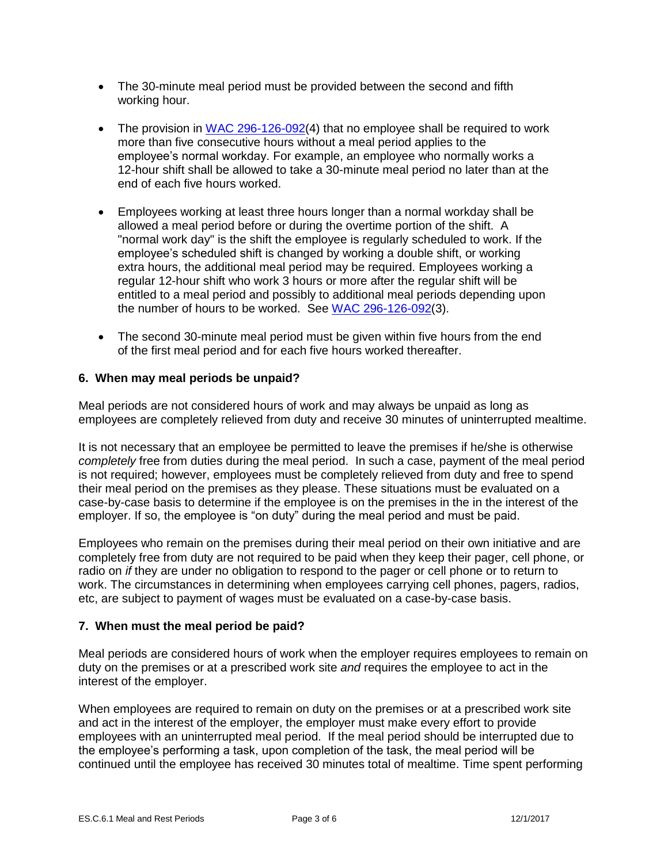- The 30-minute meal period must be provided between the second and fifth working hour.
- The provision in [WAC 296-126-092\(](http://app.leg.wa.gov/WAC/default.aspx?cite=296-126-092)4) that no employee shall be required to work more than five consecutive hours without a meal period applies to the employee's normal workday. For example, an employee who normally works a 12-hour shift shall be allowed to take a 30-minute meal period no later than at the end of each five hours worked.
- Employees working at least three hours longer than a normal workday shall be allowed a meal period before or during the overtime portion of the shift. A "normal work day" is the shift the employee is regularly scheduled to work. If the employee's scheduled shift is changed by working a double shift, or working extra hours, the additional meal period may be required. Employees working a regular 12-hour shift who work 3 hours or more after the regular shift will be entitled to a meal period and possibly to additional meal periods depending upon the number of hours to be worked. See [WAC 296-126-092\(](http://app.leg.wa.gov/WAC/default.aspx?cite=296-126-092)3).
- The second 30-minute meal period must be given within five hours from the end of the first meal period and for each five hours worked thereafter.

# **6. When may meal periods be unpaid?**

Meal periods are not considered hours of work and may always be unpaid as long as employees are completely relieved from duty and receive 30 minutes of uninterrupted mealtime.

It is not necessary that an employee be permitted to leave the premises if he/she is otherwise *completely* free from duties during the meal period. In such a case, payment of the meal period is not required; however, employees must be completely relieved from duty and free to spend their meal period on the premises as they please. These situations must be evaluated on a case-by-case basis to determine if the employee is on the premises in the in the interest of the employer. If so, the employee is "on duty" during the meal period and must be paid.

Employees who remain on the premises during their meal period on their own initiative and are completely free from duty are not required to be paid when they keep their pager, cell phone, or radio on *if* they are under no obligation to respond to the pager or cell phone or to return to work. The circumstances in determining when employees carrying cell phones, pagers, radios, etc, are subject to payment of wages must be evaluated on a case-by-case basis.

## **7. When must the meal period be paid?**

Meal periods are considered hours of work when the employer requires employees to remain on duty on the premises or at a prescribed work site *and* requires the employee to act in the interest of the employer.

When employees are required to remain on duty on the premises or at a prescribed work site and act in the interest of the employer, the employer must make every effort to provide employees with an uninterrupted meal period. If the meal period should be interrupted due to the employee's performing a task, upon completion of the task, the meal period will be continued until the employee has received 30 minutes total of mealtime. Time spent performing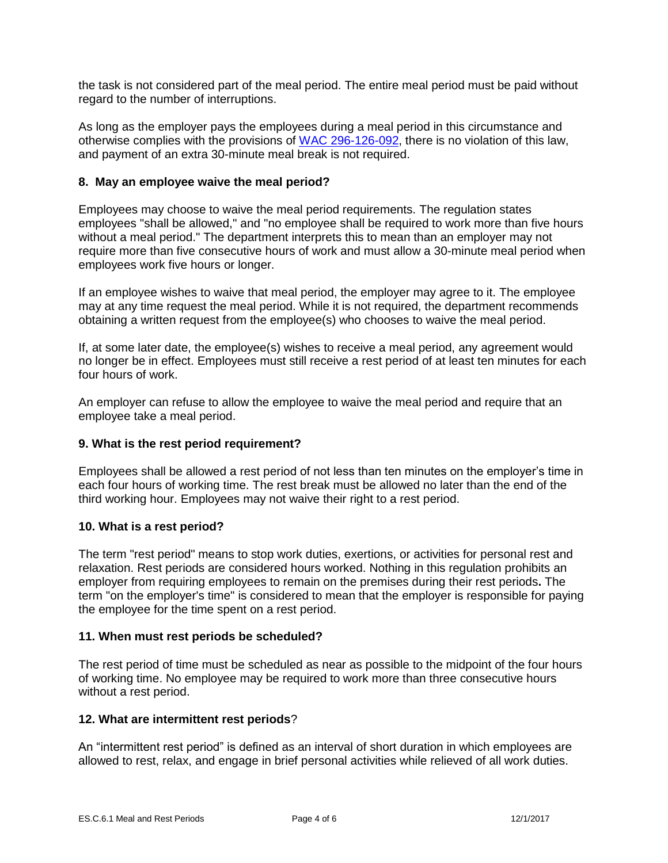the task is not considered part of the meal period. The entire meal period must be paid without regard to the number of interruptions.

As long as the employer pays the employees during a meal period in this circumstance and otherwise complies with the provisions of [WAC 296-126-092,](http://app.leg.wa.gov/WAC/default.aspx?cite=296-126-092) there is no violation of this law, and payment of an extra 30-minute meal break is not required.

# **8. May an employee waive the meal period?**

Employees may choose to waive the meal period requirements. The regulation states employees "shall be allowed," and "no employee shall be required to work more than five hours without a meal period." The department interprets this to mean than an employer may not require more than five consecutive hours of work and must allow a 30-minute meal period when employees work five hours or longer.

If an employee wishes to waive that meal period, the employer may agree to it. The employee may at any time request the meal period. While it is not required, the department recommends obtaining a written request from the employee(s) who chooses to waive the meal period.

If, at some later date, the employee(s) wishes to receive a meal period, any agreement would no longer be in effect. Employees must still receive a rest period of at least ten minutes for each four hours of work.

An employer can refuse to allow the employee to waive the meal period and require that an employee take a meal period.

## **9. What is the rest period requirement?**

Employees shall be allowed a rest period of not less than ten minutes on the employer's time in each four hours of working time. The rest break must be allowed no later than the end of the third working hour. Employees may not waive their right to a rest period.

## **10. What is a rest period?**

The term "rest period" means to stop work duties, exertions, or activities for personal rest and relaxation. Rest periods are considered hours worked. Nothing in this regulation prohibits an employer from requiring employees to remain on the premises during their rest periods**.** The term "on the employer's time" is considered to mean that the employer is responsible for paying the employee for the time spent on a rest period.

## **11. When must rest periods be scheduled?**

The rest period of time must be scheduled as near as possible to the midpoint of the four hours of working time. No employee may be required to work more than three consecutive hours without a rest period.

## **12. What are intermittent rest periods**?

An "intermittent rest period" is defined as an interval of short duration in which employees are allowed to rest, relax, and engage in brief personal activities while relieved of all work duties.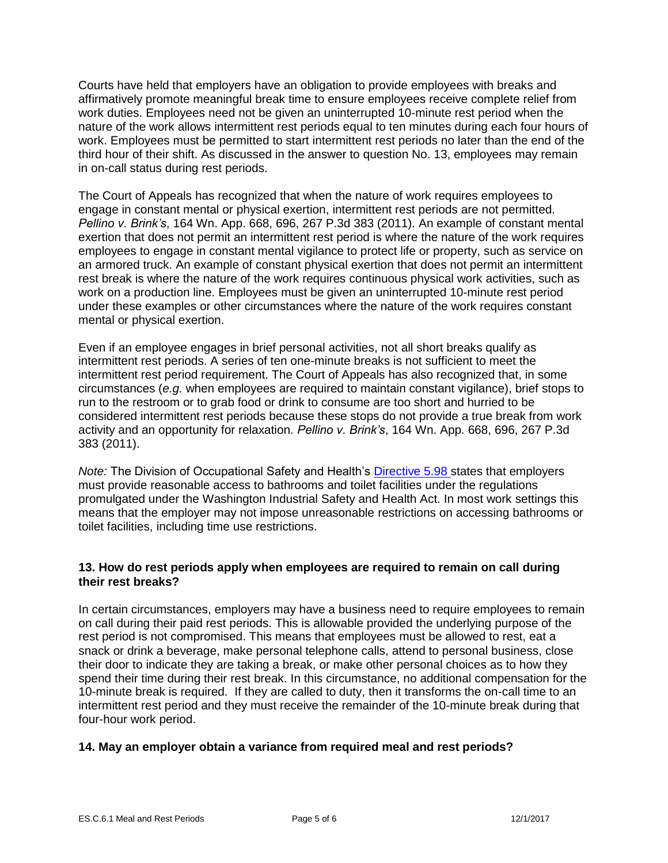Courts have held that employers have an obligation to provide employees with breaks and affirmatively promote meaningful break time to ensure employees receive complete relief from work duties. Employees need not be given an uninterrupted 10-minute rest period when the nature of the work allows intermittent rest periods equal to ten minutes during each four hours of work. Employees must be permitted to start intermittent rest periods no later than the end of the third hour of their shift. As discussed in the answer to question No. 13, employees may remain in on-call status during rest periods.

The Court of Appeals has recognized that when the nature of work requires employees to engage in constant mental or physical exertion, intermittent rest periods are not permitted. *Pellino v. Brink's*, 164 Wn. App. 668, 696, 267 P.3d 383 (2011). An example of constant mental exertion that does not permit an intermittent rest period is where the nature of the work requires employees to engage in constant mental vigilance to protect life or property, such as service on an armored truck. An example of constant physical exertion that does not permit an intermittent rest break is where the nature of the work requires continuous physical work activities, such as work on a production line. Employees must be given an uninterrupted 10-minute rest period under these examples or other circumstances where the nature of the work requires constant mental or physical exertion.

Even if an employee engages in brief personal activities, not all short breaks qualify as intermittent rest periods. A series of ten one-minute breaks is not sufficient to meet the intermittent rest period requirement. The Court of Appeals has also recognized that, in some circumstances (*e.g.* when employees are required to maintain constant vigilance), brief stops to run to the restroom or to grab food or drink to consume are too short and hurried to be considered intermittent rest periods because these stops do not provide a true break from work activity and an opportunity for relaxation. *Pellino v. Brink's*, 164 Wn. App. 668, 696, 267 P.3d 383 (2011).

*Note:* The Division of Occupational Safety and Health's [Directive 5.98](http://www.lni.wa.gov/safety/rules/policies/pdfs/dd0598.pdf) states that employers must provide reasonable access to bathrooms and toilet facilities under the regulations promulgated under the Washington Industrial Safety and Health Act. In most work settings this means that the employer may not impose unreasonable restrictions on accessing bathrooms or toilet facilities, including time use restrictions.

# **13. How do rest periods apply when employees are required to remain on call during their rest breaks?**

In certain circumstances, employers may have a business need to require employees to remain on call during their paid rest periods. This is allowable provided the underlying purpose of the rest period is not compromised. This means that employees must be allowed to rest, eat a snack or drink a beverage, make personal telephone calls, attend to personal business, close their door to indicate they are taking a break, or make other personal choices as to how they spend their time during their rest break. In this circumstance, no additional compensation for the 10-minute break is required. If they are called to duty, then it transforms the on-call time to an intermittent rest period and they must receive the remainder of the 10-minute break during that four-hour work period.

# **14. May an employer obtain a variance from required meal and rest periods?**